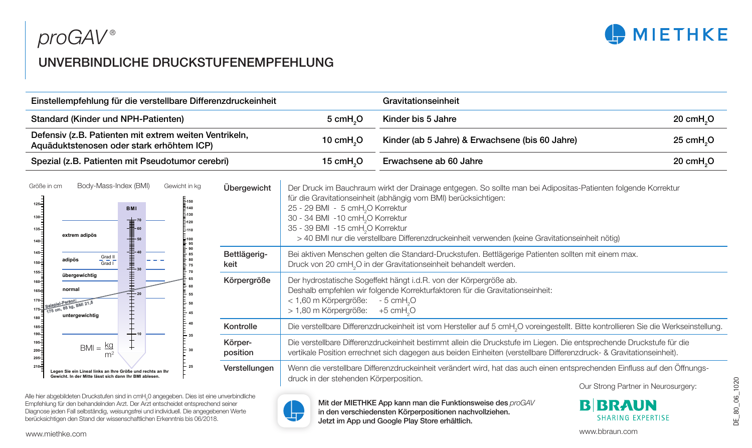

## UNVERBINDLICHE DRUCKSTUFENEMPFEHLUNG

| Einstellempfehlung für die verstellbare Differenzdruckeinheit                                                                                                                                                                                                                                                                                                                                                                                     |                                                                                                                                                                       | Gravitationseinheit                                                                                                                                                                                                                                                                                                                                                                                                                                                                                                                                                                                                                                     |                       |  |  |
|---------------------------------------------------------------------------------------------------------------------------------------------------------------------------------------------------------------------------------------------------------------------------------------------------------------------------------------------------------------------------------------------------------------------------------------------------|-----------------------------------------------------------------------------------------------------------------------------------------------------------------------|---------------------------------------------------------------------------------------------------------------------------------------------------------------------------------------------------------------------------------------------------------------------------------------------------------------------------------------------------------------------------------------------------------------------------------------------------------------------------------------------------------------------------------------------------------------------------------------------------------------------------------------------------------|-----------------------|--|--|
| Standard (Kinder und NPH-Patienten)                                                                                                                                                                                                                                                                                                                                                                                                               | 5 cmH <sub>2</sub> O                                                                                                                                                  | Kinder bis 5 Jahre<br>Kinder (ab 5 Jahre) & Erwachsene (bis 60 Jahre)                                                                                                                                                                                                                                                                                                                                                                                                                                                                                                                                                                                   | 20 cmH <sub>2</sub> O |  |  |
| Defensiv (z.B. Patienten mit extrem weiten Ventrikeln,<br>Aquäduktstenosen oder stark erhöhtem ICP)                                                                                                                                                                                                                                                                                                                                               | 10 cmH <sub>2</sub> O                                                                                                                                                 |                                                                                                                                                                                                                                                                                                                                                                                                                                                                                                                                                                                                                                                         | 25 cmH <sub>2</sub> O |  |  |
| Spezial (z.B. Patienten mit Pseudotumor cerebri)                                                                                                                                                                                                                                                                                                                                                                                                  | 15 cmH <sub>2</sub> O                                                                                                                                                 | Erwachsene ab 60 Jahre                                                                                                                                                                                                                                                                                                                                                                                                                                                                                                                                                                                                                                  | 20 cmH <sub>2</sub> O |  |  |
| Body-Mass-Index (BMI)<br>Größe in cm<br>Gewicht in kg<br>Übergewicht<br>-150<br>$125 -$<br>$-140$<br><b>BMI</b><br>$-130$<br>$130 -$<br>-120<br>$135 -$<br>$-110$<br>extrem adipös<br>$-100$<br>$140 -$<br>95<br>90<br>$145 -$<br>Bettlägerig-<br>85<br>Grad II<br>Grad I<br>adipös<br>80<br>150-<br>keit<br>75<br>155급<br>70<br>übergewichtig<br>65<br>Körpergröße<br>$160 -$<br>60<br>normal<br>$165 -$<br>$-20$<br>175 Belepier-Personal St. 6 | 25 - 29 BMI - 5 cmH <sub>2</sub> O Korrektur<br>30 - 34 BMI -10 cmH <sub>2</sub> O Korrektur<br>35 - 39 BMI -15 cmH <sub>2</sub> O Korrektur<br>< 1,60 m Körpergröße: | Der Druck im Bauchraum wirkt der Drainage entgegen. So sollte man bei Adipositas-Patienten folgende Korrektur<br>für die Gravitationseinheit (abhängig vom BMI) berücksichtigen:<br>> 40 BMI nur die verstellbare Differenzdruckeinheit verwenden (keine Gravitationseinheit nötig)<br>Bei aktiven Menschen gelten die Standard-Druckstufen. Bettlägerige Patienten sollten mit einem max.<br>Druck von 20 cmH <sub>2</sub> O in der Gravitationseinheit behandelt werden.<br>Der hydrostatische Sogeffekt hängt i.d.R. von der Körpergröße ab.<br>Deshalb empfehlen wir folgende Korrekturfaktoren für die Gravitationseinheit:<br>$-5$ cmH $\alpha$ O |                       |  |  |
| untergewichtig<br>Kontrolle                                                                                                                                                                                                                                                                                                                                                                                                                       | > 1,80 m Körpergröße:                                                                                                                                                 | $+5$ cmH $\alpha$<br>Die verstellbare Differenzdruckeinheit ist vom Hersteller auf 5 cmH <sub>2</sub> O voreingestellt. Bitte kontrollieren Sie die Werkseinstellung.                                                                                                                                                                                                                                                                                                                                                                                                                                                                                   |                       |  |  |
| $190 -$<br>35<br>Körper-<br>$195 -$<br>$BMI = \frac{kQ}{l}$<br>$200 -$<br>position<br>m <sup>2</sup><br>$205 -$                                                                                                                                                                                                                                                                                                                                   |                                                                                                                                                                       | Die verstellbare Differenzdruckeinheit bestimmt allein die Druckstufe im Liegen. Die entsprechende Druckstufe für die<br>vertikale Position errechnet sich dagegen aus beiden Einheiten (verstellbare Differenzdruck- & Gravitationseinheit).                                                                                                                                                                                                                                                                                                                                                                                                           |                       |  |  |
| 25<br>Verstellungen<br>Legen Sie ein Lineal links an Ihre Größe und rechts an Ihr<br>Gewicht. In der Mitte lässt sich dann Ihr BMI ableser                                                                                                                                                                                                                                                                                                        | druck in der stehenden Körperposition.                                                                                                                                | Wenn die verstellbare Differenzdruckeinheit verändert wird, hat das auch einen entsprechenden Einfluss auf den Öffnungs-<br>Our Strong Partner in Neurosurgery:                                                                                                                                                                                                                                                                                                                                                                                                                                                                                         |                       |  |  |

Ŧ

Alle hier abgebildeten Druckstufen sind in cmH<sub>2</sub>0 angegeben. Dies ist eine unverbindliche<br>Empfehlung für den behandelnden Arzt. Der Arzt entscheidet entsprechend seiner Diagnose jeden Fall selbständig, weisungsfrei und individuell. Die angegebenen Werte berücksichtigen den Stand der wissenschaftlichen Erkenntnis bis 06/2018.

Mit der MIETHKE App kann man die Funktionsweise des *proGAV* in den verschiedensten Körperpositionen nachvollziehen. Jetzt im App und Google Play Store erhältlich.



DE\_80\_06\_1020 DE\_80\_06\_1020

www.miethke.com www.bbraun.com